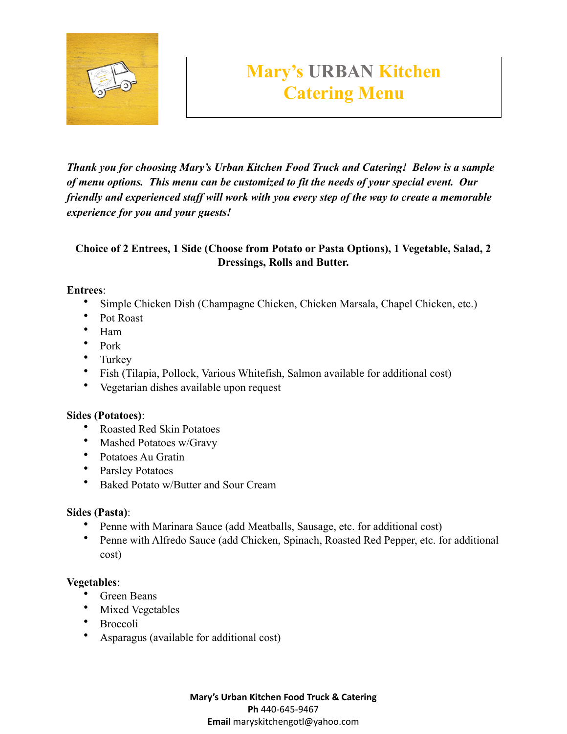

# **Mary's URBAN Kitchen Catering Menu**

*Thank you for choosing Mary's Urban Kitchen Food Truck and Catering! Below is a sample of menu options. This menu can be customized to fit the needs of your special event. Our friendly and experienced staff will work with you every step of the way to create a memorable experience for you and your guests!*

## **Choice of 2 Entrees, 1 Side (Choose from Potato or Pasta Options), 1 Vegetable, Salad, 2 Dressings, Rolls and Butter.**

#### **Entrees**:

- Simple Chicken Dish (Champagne Chicken, Chicken Marsala, Chapel Chicken, etc.)
- Pot Roast
- Ham
- Pork
- Turkey
- Fish (Tilapia, Pollock, Various Whitefish, Salmon available for additional cost)
- Vegetarian dishes available upon request

## **Sides (Potatoes)**:

- Roasted Red Skin Potatoes
- Mashed Potatoes w/Gravy
- Potatoes Au Gratin
- Parsley Potatoes
- Baked Potato w/Butter and Sour Cream

## **Sides (Pasta)**:

- Penne with Marinara Sauce (add Meatballs, Sausage, etc. for additional cost)
- Penne with Alfredo Sauce (add Chicken, Spinach, Roasted Red Pepper, etc. for additional cost)

## **Vegetables**:

- Green Beans
- Mixed Vegetables
- Broccoli
- Asparagus (available for additional cost)

**Mary's Urban Kitchen Food Truck & Catering Ph** 440-645-9467 **Email** maryskitchengotl@yahoo.com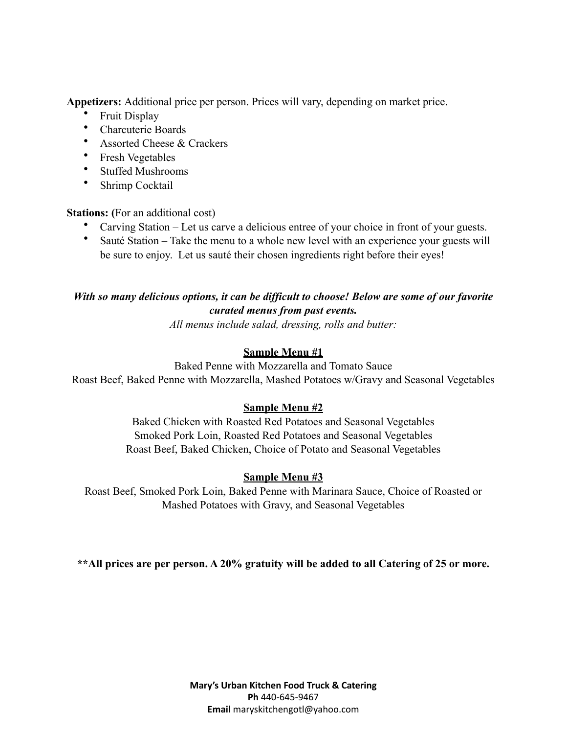**Appetizers:** Additional price per person. Prices will vary, depending on market price.

- Fruit Display
- Charcuterie Boards
- Assorted Cheese & Crackers
- Fresh Vegetables
- Stuffed Mushrooms
- Shrimp Cocktail

**Stations:** (For an additional cost)

- Carving Station Let us carve a delicious entree of your choice in front of your guests.
- Sauté Station Take the menu to a whole new level with an experience your guests will be sure to enjoy. Let us sauté their chosen ingredients right before their eyes!

## *With so many delicious options, it can be difficult to choose! Below are some of our favorite curated menus from past events.*

*All menus include salad, dressing, rolls and butter:*

## **Sample Menu #1**

Baked Penne with Mozzarella and Tomato Sauce Roast Beef, Baked Penne with Mozzarella, Mashed Potatoes w/Gravy and Seasonal Vegetables

## **Sample Menu #2**

Baked Chicken with Roasted Red Potatoes and Seasonal Vegetables Smoked Pork Loin, Roasted Red Potatoes and Seasonal Vegetables Roast Beef, Baked Chicken, Choice of Potato and Seasonal Vegetables

## **Sample Menu #3**

Roast Beef, Smoked Pork Loin, Baked Penne with Marinara Sauce, Choice of Roasted or Mashed Potatoes with Gravy, and Seasonal Vegetables

**\*\*All prices are per person. A 20% gratuity will be added to all Catering of 25 or more.**